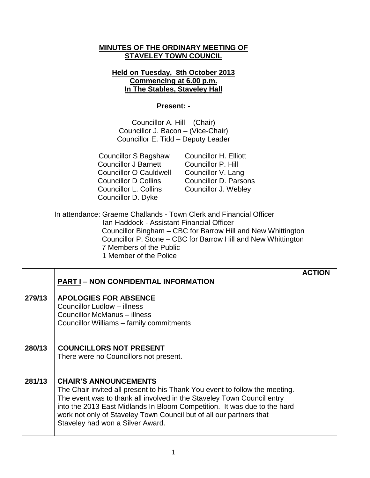# **MINUTES OF THE ORDINARY MEETING OF STAVELEY TOWN COUNCIL**

# **Held on Tuesday, 8th October 2013 Commencing at 6.00 p.m. In The Stables, Staveley Hall**

### **Present: -**

Councillor A. Hill – (Chair) Councillor J. Bacon – (Vice-Chair) Councillor E. Tidd – Deputy Leader

 Councillor S Bagshaw Councillor H. Elliott Councillor J Barnett Councillor P. Hill Councillor O Cauldwell Councillor V. Lang Councillor D Collins Councillor D. Parsons Councillor L. Collins Councillor J. Webley Councillor D. Dyke

In attendance: Graeme Challands - Town Clerk and Financial Officer Ian Haddock - Assistant Financial Officer Councillor Bingham – CBC for Barrow Hill and New Whittington Councillor P. Stone – CBC for Barrow Hill and New Whittington 7 Members of the Public 1 Member of the Police

|        |                                                                                                                                                                                                                                                                                                                                                                              | <b>ACTION</b> |
|--------|------------------------------------------------------------------------------------------------------------------------------------------------------------------------------------------------------------------------------------------------------------------------------------------------------------------------------------------------------------------------------|---------------|
|        | <b>PART I - NON CONFIDENTIAL INFORMATION</b>                                                                                                                                                                                                                                                                                                                                 |               |
| 279/13 | <b>APOLOGIES FOR ABSENCE</b><br>Councillor Ludlow - illness<br><b>Councillor McManus – illness</b><br>Councillor Williams - family commitments                                                                                                                                                                                                                               |               |
| 280/13 | <b>COUNCILLORS NOT PRESENT</b><br>There were no Councillors not present.                                                                                                                                                                                                                                                                                                     |               |
| 281/13 | <b>CHAIR'S ANNOUNCEMENTS</b><br>The Chair invited all present to his Thank You event to follow the meeting.<br>The event was to thank all involved in the Staveley Town Council entry<br>into the 2013 East Midlands In Bloom Competition. It was due to the hard<br>work not only of Staveley Town Council but of all our partners that<br>Staveley had won a Silver Award. |               |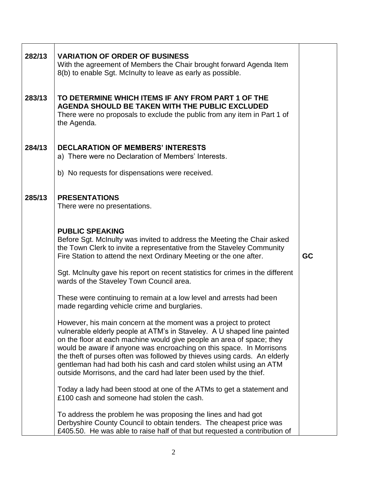| 282/13 | <b>VARIATION OF ORDER OF BUSINESS</b><br>With the agreement of Members the Chair brought forward Agenda Item<br>8(b) to enable Sgt. McInulty to leave as early as possible.                                                                                                                                                                                                                                                                                                                                           |           |
|--------|-----------------------------------------------------------------------------------------------------------------------------------------------------------------------------------------------------------------------------------------------------------------------------------------------------------------------------------------------------------------------------------------------------------------------------------------------------------------------------------------------------------------------|-----------|
| 283/13 | TO DETERMINE WHICH ITEMS IF ANY FROM PART 1 OF THE<br>AGENDA SHOULD BE TAKEN WITH THE PUBLIC EXCLUDED<br>There were no proposals to exclude the public from any item in Part 1 of<br>the Agenda.                                                                                                                                                                                                                                                                                                                      |           |
| 284/13 | <b>DECLARATION OF MEMBERS' INTERESTS</b><br>a) There were no Declaration of Members' Interests.                                                                                                                                                                                                                                                                                                                                                                                                                       |           |
|        | b) No requests for dispensations were received.                                                                                                                                                                                                                                                                                                                                                                                                                                                                       |           |
| 285/13 | <b>PRESENTATIONS</b><br>There were no presentations.                                                                                                                                                                                                                                                                                                                                                                                                                                                                  |           |
|        | <b>PUBLIC SPEAKING</b><br>Before Sgt. McInulty was invited to address the Meeting the Chair asked<br>the Town Clerk to invite a representative from the Staveley Community<br>Fire Station to attend the next Ordinary Meeting or the one after.                                                                                                                                                                                                                                                                      | <b>GC</b> |
|        | Sgt. McInulty gave his report on recent statistics for crimes in the different<br>wards of the Staveley Town Council area.                                                                                                                                                                                                                                                                                                                                                                                            |           |
|        | These were continuing to remain at a low level and arrests had been<br>made regarding vehicle crime and burglaries.                                                                                                                                                                                                                                                                                                                                                                                                   |           |
|        | However, his main concern at the moment was a project to protect<br>vulnerable elderly people at ATM's in Staveley. A U shaped line painted<br>on the floor at each machine would give people an area of space; they<br>would be aware if anyone was encroaching on this space. In Morrisons<br>the theft of purses often was followed by thieves using cards. An elderly<br>gentleman had had both his cash and card stolen whilst using an ATM<br>outside Morrisons, and the card had later been used by the thief. |           |
|        | Today a lady had been stood at one of the ATMs to get a statement and<br>£100 cash and someone had stolen the cash.                                                                                                                                                                                                                                                                                                                                                                                                   |           |
|        | To address the problem he was proposing the lines and had got<br>Derbyshire County Council to obtain tenders. The cheapest price was<br>£405.50. He was able to raise half of that but requested a contribution of                                                                                                                                                                                                                                                                                                    |           |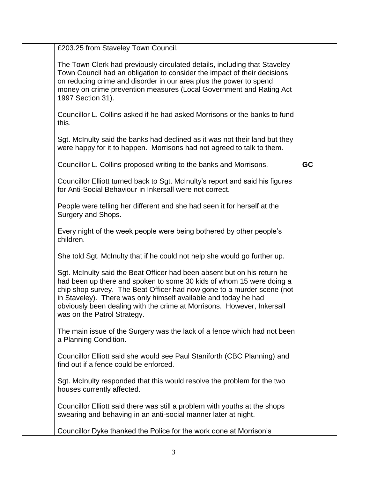| £203.25 from Staveley Town Council.                                                                                                                                                                                                                                                                                                                                                                    |           |
|--------------------------------------------------------------------------------------------------------------------------------------------------------------------------------------------------------------------------------------------------------------------------------------------------------------------------------------------------------------------------------------------------------|-----------|
| The Town Clerk had previously circulated details, including that Staveley<br>Town Council had an obligation to consider the impact of their decisions<br>on reducing crime and disorder in our area plus the power to spend<br>money on crime prevention measures (Local Government and Rating Act<br>1997 Section 31).                                                                                |           |
| Councillor L. Collins asked if he had asked Morrisons or the banks to fund<br>this.                                                                                                                                                                                                                                                                                                                    |           |
| Sgt. McInulty said the banks had declined as it was not their land but they<br>were happy for it to happen. Morrisons had not agreed to talk to them.                                                                                                                                                                                                                                                  |           |
| Councillor L. Collins proposed writing to the banks and Morrisons.                                                                                                                                                                                                                                                                                                                                     | <b>GC</b> |
| Councillor Elliott turned back to Sgt. McInulty's report and said his figures<br>for Anti-Social Behaviour in Inkersall were not correct.                                                                                                                                                                                                                                                              |           |
| People were telling her different and she had seen it for herself at the<br>Surgery and Shops.                                                                                                                                                                                                                                                                                                         |           |
| Every night of the week people were being bothered by other people's<br>children.                                                                                                                                                                                                                                                                                                                      |           |
| She told Sgt. McInulty that if he could not help she would go further up.                                                                                                                                                                                                                                                                                                                              |           |
| Sgt. McInulty said the Beat Officer had been absent but on his return he<br>had been up there and spoken to some 30 kids of whom 15 were doing a<br>chip shop survey. The Beat Officer had now gone to a murder scene (not<br>in Staveley). There was only himself available and today he had<br>obviously been dealing with the crime at Morrisons. However, Inkersall<br>was on the Patrol Strategy. |           |
| The main issue of the Surgery was the lack of a fence which had not been<br>a Planning Condition.                                                                                                                                                                                                                                                                                                      |           |
| Councillor Elliott said she would see Paul Staniforth (CBC Planning) and<br>find out if a fence could be enforced.                                                                                                                                                                                                                                                                                     |           |
| Sgt. McInulty responded that this would resolve the problem for the two<br>houses currently affected.                                                                                                                                                                                                                                                                                                  |           |
| Councillor Elliott said there was still a problem with youths at the shops<br>swearing and behaving in an anti-social manner later at night.                                                                                                                                                                                                                                                           |           |
| Councillor Dyke thanked the Police for the work done at Morrison's                                                                                                                                                                                                                                                                                                                                     |           |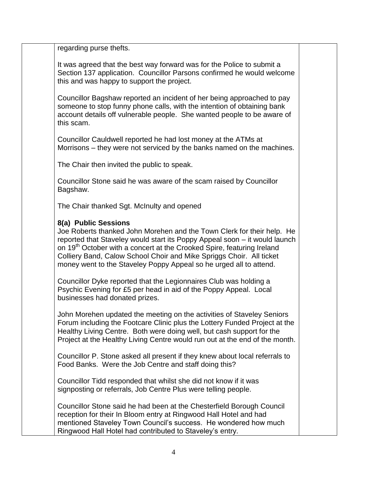regarding purse thefts.

It was agreed that the best way forward was for the Police to submit a Section 137 application. Councillor Parsons confirmed he would welcome this and was happy to support the project.

Councillor Bagshaw reported an incident of her being approached to pay someone to stop funny phone calls, with the intention of obtaining bank account details off vulnerable people. She wanted people to be aware of this scam.

Councillor Cauldwell reported he had lost money at the ATMs at Morrisons – they were not serviced by the banks named on the machines.

The Chair then invited the public to speak.

Councillor Stone said he was aware of the scam raised by Councillor Bagshaw.

The Chair thanked Sgt. McInulty and opened

# **8(a) Public Sessions**

Joe Roberts thanked John Morehen and the Town Clerk for their help. He reported that Staveley would start its Poppy Appeal soon – it would launch on 19<sup>th</sup> October with a concert at the Crooked Spire, featuring Ireland Colliery Band, Calow School Choir and Mike Spriggs Choir. All ticket money went to the Staveley Poppy Appeal so he urged all to attend.

Councillor Dyke reported that the Legionnaires Club was holding a Psychic Evening for £5 per head in aid of the Poppy Appeal. Local businesses had donated prizes.

John Morehen updated the meeting on the activities of Staveley Seniors Forum including the Footcare Clinic plus the Lottery Funded Project at the Healthy Living Centre. Both were doing well, but cash support for the Project at the Healthy Living Centre would run out at the end of the month.

Councillor P. Stone asked all present if they knew about local referrals to Food Banks. Were the Job Centre and staff doing this?

Councillor Tidd responded that whilst she did not know if it was signposting or referrals, Job Centre Plus were telling people.

Councillor Stone said he had been at the Chesterfield Borough Council reception for their In Bloom entry at Ringwood Hall Hotel and had mentioned Staveley Town Council's success. He wondered how much Ringwood Hall Hotel had contributed to Staveley's entry.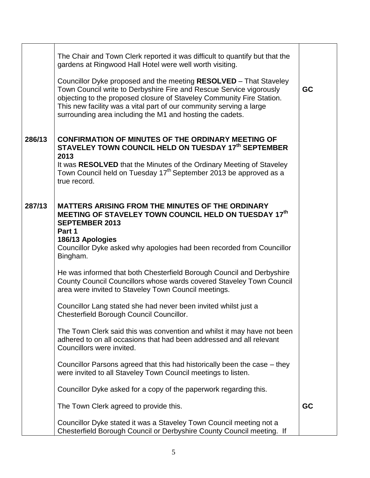|        | The Chair and Town Clerk reported it was difficult to quantify but that the<br>gardens at Ringwood Hall Hotel were well worth visiting.<br>Councillor Dyke proposed and the meeting RESOLVED - That Staveley<br>Town Council write to Derbyshire Fire and Rescue Service vigorously<br>objecting to the proposed closure of Staveley Community Fire Station.<br>This new facility was a vital part of our community serving a large<br>surrounding area including the M1 and hosting the cadets.               | <b>GC</b> |
|--------|----------------------------------------------------------------------------------------------------------------------------------------------------------------------------------------------------------------------------------------------------------------------------------------------------------------------------------------------------------------------------------------------------------------------------------------------------------------------------------------------------------------|-----------|
| 286/13 | <b>CONFIRMATION OF MINUTES OF THE ORDINARY MEETING OF</b><br>STAVELEY TOWN COUNCIL HELD ON TUESDAY 17th SEPTEMBER<br>2013<br>It was RESOLVED that the Minutes of the Ordinary Meeting of Staveley<br>Town Council held on Tuesday 17 <sup>th</sup> September 2013 be approved as a<br>true record.                                                                                                                                                                                                             |           |
| 287/13 | <b>MATTERS ARISING FROM THE MINUTES OF THE ORDINARY</b><br>MEETING OF STAVELEY TOWN COUNCIL HELD ON TUESDAY 17th<br><b>SEPTEMBER 2013</b><br>Part 1<br>186/13 Apologies<br>Councillor Dyke asked why apologies had been recorded from Councillor<br>Bingham.<br>He was informed that both Chesterfield Borough Council and Derbyshire<br>County Council Councillors whose wards covered Staveley Town Council<br>area were invited to Staveley Town Council meetings.                                          |           |
|        | Councillor Lang stated she had never been invited whilst just a<br>Chesterfield Borough Council Councillor.<br>The Town Clerk said this was convention and whilst it may have not been<br>adhered to on all occasions that had been addressed and all relevant<br>Councillors were invited.<br>Councillor Parsons agreed that this had historically been the case – they<br>were invited to all Staveley Town Council meetings to listen.<br>Councillor Dyke asked for a copy of the paperwork regarding this. |           |
|        | The Town Clerk agreed to provide this.<br>Councillor Dyke stated it was a Staveley Town Council meeting not a<br>Chesterfield Borough Council or Derbyshire County Council meeting. If                                                                                                                                                                                                                                                                                                                         | GC        |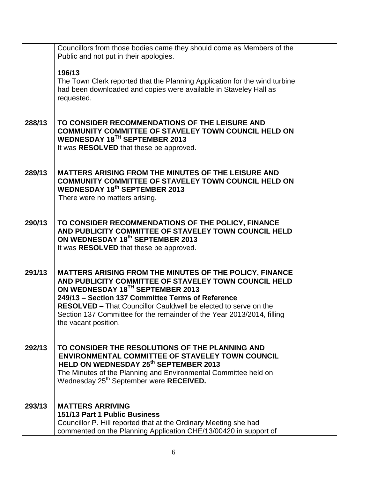|        | Councillors from those bodies came they should come as Members of the<br>Public and not put in their apologies.                                                                                                                                                                                                                                                                       |  |
|--------|---------------------------------------------------------------------------------------------------------------------------------------------------------------------------------------------------------------------------------------------------------------------------------------------------------------------------------------------------------------------------------------|--|
|        | 196/13<br>The Town Clerk reported that the Planning Application for the wind turbine<br>had been downloaded and copies were available in Staveley Hall as<br>requested.                                                                                                                                                                                                               |  |
| 288/13 | TO CONSIDER RECOMMENDATIONS OF THE LEISURE AND<br><b>COMMUNITY COMMITTEE OF STAVELEY TOWN COUNCIL HELD ON</b><br>WEDNESDAY 18TH SEPTEMBER 2013<br>It was RESOLVED that these be approved.                                                                                                                                                                                             |  |
| 289/13 | <b>MATTERS ARISING FROM THE MINUTES OF THE LEISURE AND</b><br><b>COMMUNITY COMMITTEE OF STAVELEY TOWN COUNCIL HELD ON</b><br><b>WEDNESDAY 18th SEPTEMBER 2013</b><br>There were no matters arising.                                                                                                                                                                                   |  |
| 290/13 | TO CONSIDER RECOMMENDATIONS OF THE POLICY, FINANCE<br>AND PUBLICITY COMMITTEE OF STAVELEY TOWN COUNCIL HELD<br>ON WEDNESDAY 18th SEPTEMBER 2013<br>It was RESOLVED that these be approved.                                                                                                                                                                                            |  |
| 291/13 | MATTERS ARISING FROM THE MINUTES OF THE POLICY, FINANCE<br>AND PUBLICITY COMMITTEE OF STAVELEY TOWN COUNCIL HELD<br>ON WEDNESDAY 18TH SEPTEMBER 2013<br>249/13 - Section 137 Committee Terms of Reference<br><b>RESOLVED – That Councillor Cauldwell be elected to serve on the</b><br>Section 137 Committee for the remainder of the Year 2013/2014, filling<br>the vacant position. |  |
| 292/13 | TO CONSIDER THE RESOLUTIONS OF THE PLANNING AND<br><b>ENVIRONMENTAL COMMITTEE OF STAVELEY TOWN COUNCIL</b><br>HELD ON WEDNESDAY 25 <sup>th</sup> SEPTEMBER 2013<br>The Minutes of the Planning and Environmental Committee held on<br>Wednesday 25 <sup>th</sup> September were RECEIVED.                                                                                             |  |
| 293/13 | <b>MATTERS ARRIVING</b><br>151/13 Part 1 Public Business<br>Councillor P. Hill reported that at the Ordinary Meeting she had<br>commented on the Planning Application CHE/13/00420 in support of                                                                                                                                                                                      |  |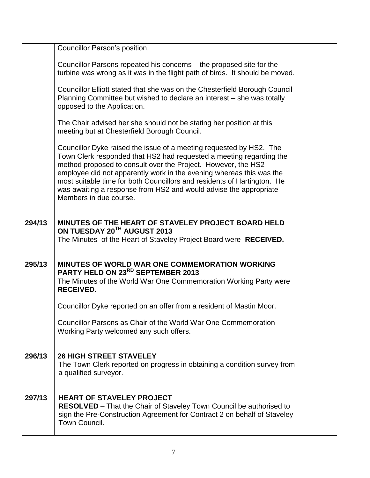|        | Councillor Parson's position.                                                                                                                                                                                                                                                                                                                                                                                                                                 |  |
|--------|---------------------------------------------------------------------------------------------------------------------------------------------------------------------------------------------------------------------------------------------------------------------------------------------------------------------------------------------------------------------------------------------------------------------------------------------------------------|--|
|        | Councillor Parsons repeated his concerns – the proposed site for the<br>turbine was wrong as it was in the flight path of birds. It should be moved.                                                                                                                                                                                                                                                                                                          |  |
|        | Councillor Elliott stated that she was on the Chesterfield Borough Council<br>Planning Committee but wished to declare an interest - she was totally<br>opposed to the Application.                                                                                                                                                                                                                                                                           |  |
|        | The Chair advised her she should not be stating her position at this<br>meeting but at Chesterfield Borough Council.                                                                                                                                                                                                                                                                                                                                          |  |
|        | Councillor Dyke raised the issue of a meeting requested by HS2. The<br>Town Clerk responded that HS2 had requested a meeting regarding the<br>method proposed to consult over the Project. However, the HS2<br>employee did not apparently work in the evening whereas this was the<br>most suitable time for both Councillors and residents of Hartington. He<br>was awaiting a response from HS2 and would advise the appropriate<br>Members in due course. |  |
| 294/13 | MINUTES OF THE HEART OF STAVELEY PROJECT BOARD HELD<br>ON TUESDAY 20TH AUGUST 2013<br>The Minutes of the Heart of Staveley Project Board were RECEIVED.                                                                                                                                                                                                                                                                                                       |  |
| 295/13 | MINUTES OF WORLD WAR ONE COMMEMORATION WORKING<br>PARTY HELD ON 23RD SEPTEMBER 2013<br>The Minutes of the World War One Commemoration Working Party were<br><b>RECEIVED.</b>                                                                                                                                                                                                                                                                                  |  |
|        | Councillor Dyke reported on an offer from a resident of Mastin Moor.                                                                                                                                                                                                                                                                                                                                                                                          |  |
|        | Councillor Parsons as Chair of the World War One Commemoration<br>Working Party welcomed any such offers.                                                                                                                                                                                                                                                                                                                                                     |  |
| 296/13 | <b>26 HIGH STREET STAVELEY</b><br>The Town Clerk reported on progress in obtaining a condition survey from<br>a qualified surveyor.                                                                                                                                                                                                                                                                                                                           |  |
| 297/13 | <b>HEART OF STAVELEY PROJECT</b><br><b>RESOLVED</b> – That the Chair of Staveley Town Council be authorised to<br>sign the Pre-Construction Agreement for Contract 2 on behalf of Staveley<br>Town Council.                                                                                                                                                                                                                                                   |  |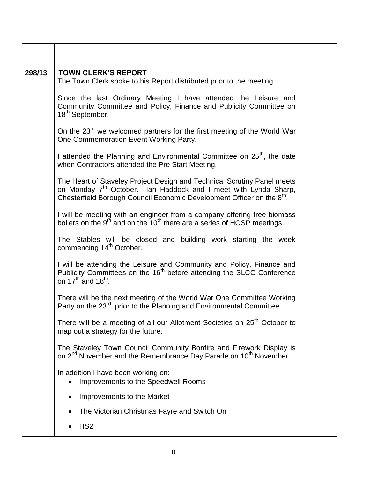| 298/13 | <b>TOWN CLERK'S REPORT</b><br>The Town Clerk spoke to his Report distributed prior to the meeting.                                                                                                                                           |  |  |  |  |
|--------|----------------------------------------------------------------------------------------------------------------------------------------------------------------------------------------------------------------------------------------------|--|--|--|--|
|        | Since the last Ordinary Meeting I have attended the Leisure and<br>Community Committee and Policy, Finance and Publicity Committee on<br>18 <sup>th</sup> September.                                                                         |  |  |  |  |
|        | On the 23 <sup>rd</sup> we welcomed partners for the first meeting of the World War<br>One Commemoration Event Working Party.                                                                                                                |  |  |  |  |
|        | I attended the Planning and Environmental Committee on 25 <sup>th</sup> , the date<br>when Contractors attended the Pre Start Meeting.                                                                                                       |  |  |  |  |
|        | The Heart of Staveley Project Design and Technical Scrutiny Panel meets<br>on Monday 7 <sup>th</sup> October. Ian Haddock and I meet with Lynda Sharp,<br>Chesterfield Borough Council Economic Development Officer on the 8 <sup>th</sup> . |  |  |  |  |
|        | I will be meeting with an engineer from a company offering free biomass<br>boilers on the $9^{th}$ and on the $10^{th}$ there are a series of HOSP meetings.                                                                                 |  |  |  |  |
|        | The Stables will be closed and building work starting the week<br>commencing 14 <sup>th</sup> October.                                                                                                                                       |  |  |  |  |
|        | I will be attending the Leisure and Community and Policy, Finance and<br>Publicity Committees on the 16 <sup>th</sup> before attending the SLCC Conference<br>on $17th$ and $18th$ .                                                         |  |  |  |  |
|        | There will be the next meeting of the World War One Committee Working<br>Party on the 23 <sup>rd</sup> , prior to the Planning and Environmental Committee.                                                                                  |  |  |  |  |
|        | There will be a meeting of all our Allotment Societies on 25 <sup>th</sup> October to<br>map out a strategy for the future.                                                                                                                  |  |  |  |  |
|        | The Staveley Town Council Community Bonfire and Firework Display is<br>on 2 <sup>nd</sup> November and the Remembrance Day Parade on 10 <sup>th</sup> November.                                                                              |  |  |  |  |
|        | In addition I have been working on:<br>Improvements to the Speedwell Rooms                                                                                                                                                                   |  |  |  |  |
|        | Improvements to the Market                                                                                                                                                                                                                   |  |  |  |  |
|        | The Victorian Christmas Fayre and Switch On                                                                                                                                                                                                  |  |  |  |  |
|        | HS <sub>2</sub>                                                                                                                                                                                                                              |  |  |  |  |
|        |                                                                                                                                                                                                                                              |  |  |  |  |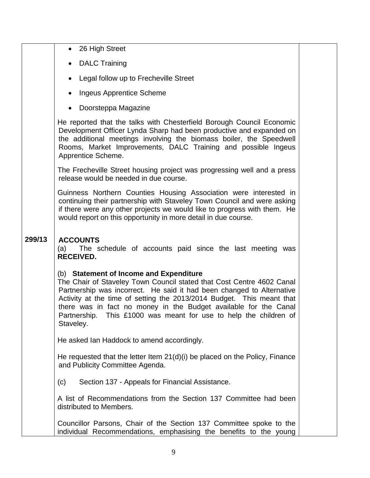| 26 High Street |  |
|----------------|--|
|----------------|--|

- DALC Training
- Legal follow up to Frecheville Street
- Ingeus Apprentice Scheme
- Doorsteppa Magazine

He reported that the talks with Chesterfield Borough Council Economic Development Officer Lynda Sharp had been productive and expanded on the additional meetings involving the biomass boiler, the Speedwell Rooms, Market Improvements, DALC Training and possible Ingeus Apprentice Scheme.

The Frecheville Street housing project was progressing well and a press release would be needed in due course.

Guinness Northern Counties Housing Association were interested in continuing their partnership with Staveley Town Council and were asking if there were any other projects we would like to progress with them. He would report on this opportunity in more detail in due course.

#### **299/13 ACCOUNTS**

(a) The schedule of accounts paid since the last meeting was **RECEIVED.**

## (b) **Statement of Income and Expenditure**

The Chair of Staveley Town Council stated that Cost Centre 4602 Canal Partnership was incorrect. He said it had been changed to Alternative Activity at the time of setting the 2013/2014 Budget. This meant that there was in fact no money in the Budget available for the Canal Partnership. This £1000 was meant for use to help the children of Staveley.

He asked Ian Haddock to amend accordingly.

He requested that the letter Item 21(d)(i) be placed on the Policy, Finance and Publicity Committee Agenda.

(c) Section 137 - Appeals for Financial Assistance.

A list of Recommendations from the Section 137 Committee had been distributed to Members.

Councillor Parsons, Chair of the Section 137 Committee spoke to the individual Recommendations, emphasising the benefits to the young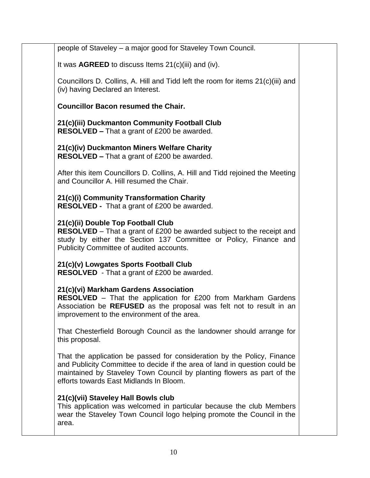| people of Staveley - a major good for Staveley Town Council.                                                                                                                                                                                                               |  |
|----------------------------------------------------------------------------------------------------------------------------------------------------------------------------------------------------------------------------------------------------------------------------|--|
| It was $AGREED$ to discuss Items $21(c)(iii)$ and (iv).                                                                                                                                                                                                                    |  |
| Councillors D. Collins, A. Hill and Tidd left the room for items 21(c)(iii) and<br>(iv) having Declared an Interest.                                                                                                                                                       |  |
| <b>Councillor Bacon resumed the Chair.</b>                                                                                                                                                                                                                                 |  |
| 21(c)(iii) Duckmanton Community Football Club<br>RESOLVED - That a grant of £200 be awarded.                                                                                                                                                                               |  |
| 21(c)(iv) Duckmanton Miners Welfare Charity<br><b>RESOLVED - That a grant of £200 be awarded.</b>                                                                                                                                                                          |  |
| After this item Councillors D. Collins, A. Hill and Tidd rejoined the Meeting<br>and Councillor A. Hill resumed the Chair.                                                                                                                                                 |  |
| 21(c)(i) Community Transformation Charity<br><b>RESOLVED</b> - That a grant of £200 be awarded.                                                                                                                                                                            |  |
| 21(c)(ii) Double Top Football Club<br><b>RESOLVED</b> – That a grant of £200 be awarded subject to the receipt and<br>study by either the Section 137 Committee or Policy, Finance and<br>Publicity Committee of audited accounts.                                         |  |
| 21(c)(v) Lowgates Sports Football Club<br><b>RESOLVED</b> - That a grant of £200 be awarded.                                                                                                                                                                               |  |
| 21(c)(vi) Markham Gardens Association<br>RESOLVED - That the application for £200 from Markham Gardens<br>Association be REFUSED as the proposal was felt not to result in an<br>improvement to the environment of the area.                                               |  |
| That Chesterfield Borough Council as the landowner should arrange for<br>this proposal.                                                                                                                                                                                    |  |
| That the application be passed for consideration by the Policy, Finance<br>and Publicity Committee to decide if the area of land in question could be<br>maintained by Staveley Town Council by planting flowers as part of the<br>efforts towards East Midlands In Bloom. |  |
| 21(c)(vii) Staveley Hall Bowls club<br>This application was welcomed in particular because the club Members<br>wear the Staveley Town Council logo helping promote the Council in the<br>area.                                                                             |  |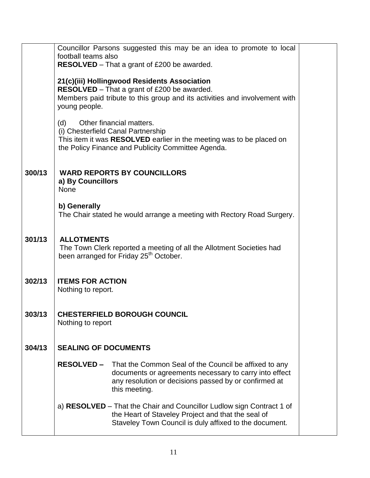|        | Councillor Parsons suggested this may be an idea to promote to local<br>football teams also                  |  |  |  |  |
|--------|--------------------------------------------------------------------------------------------------------------|--|--|--|--|
|        | <b>RESOLVED</b> – That a grant of £200 be awarded.                                                           |  |  |  |  |
|        |                                                                                                              |  |  |  |  |
|        | 21(c)(iii) Hollingwood Residents Association<br><b>RESOLVED</b> – That a grant of £200 be awarded.           |  |  |  |  |
|        | Members paid tribute to this group and its activities and involvement with                                   |  |  |  |  |
|        | young people.                                                                                                |  |  |  |  |
|        | Other financial matters.<br>(d)                                                                              |  |  |  |  |
|        | (i) Chesterfield Canal Partnership                                                                           |  |  |  |  |
|        | This item it was RESOLVED earlier in the meeting was to be placed on                                         |  |  |  |  |
|        | the Policy Finance and Publicity Committee Agenda.                                                           |  |  |  |  |
|        |                                                                                                              |  |  |  |  |
| 300/13 | <b>WARD REPORTS BY COUNCILLORS</b>                                                                           |  |  |  |  |
|        | a) By Councillors<br>None                                                                                    |  |  |  |  |
|        |                                                                                                              |  |  |  |  |
|        | b) Generally<br>The Chair stated he would arrange a meeting with Rectory Road Surgery.                       |  |  |  |  |
|        |                                                                                                              |  |  |  |  |
|        |                                                                                                              |  |  |  |  |
| 301/13 | <b>ALLOTMENTS</b><br>The Town Clerk reported a meeting of all the Allotment Societies had                    |  |  |  |  |
|        | been arranged for Friday 25 <sup>th</sup> October.                                                           |  |  |  |  |
|        |                                                                                                              |  |  |  |  |
| 302/13 | <b>ITEMS FOR ACTION</b>                                                                                      |  |  |  |  |
|        | Nothing to report.                                                                                           |  |  |  |  |
|        |                                                                                                              |  |  |  |  |
| 303/13 | <b>CHESTERFIELD BOROUGH COUNCIL</b>                                                                          |  |  |  |  |
|        | Nothing to report                                                                                            |  |  |  |  |
|        |                                                                                                              |  |  |  |  |
| 304/13 | <b>SEALING OF DOCUMENTS</b>                                                                                  |  |  |  |  |
|        | <b>RESOLVED –</b><br>That the Common Seal of the Council be affixed to any                                   |  |  |  |  |
|        | documents or agreements necessary to carry into effect                                                       |  |  |  |  |
|        | any resolution or decisions passed by or confirmed at                                                        |  |  |  |  |
|        | this meeting.                                                                                                |  |  |  |  |
|        | a) <b>RESOLVED</b> – That the Chair and Councillor Ludlow sign Contract 1 of                                 |  |  |  |  |
|        | the Heart of Staveley Project and that the seal of<br>Staveley Town Council is duly affixed to the document. |  |  |  |  |
|        |                                                                                                              |  |  |  |  |